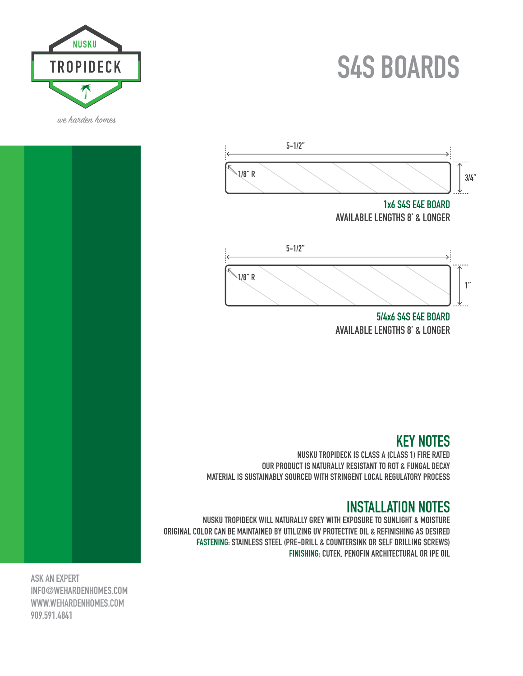# **S4S BOARDS**





**5/4x6 S4S E4E BOARD AVAILABLE LENGTHS 8' & LONGER**

## **KEY NOTES**

**NUSKU TROPIDECK IS CLASS A (CLASS 1) FIRE RATED OUR PRODUCT IS NATURALLY RESISTANT TO ROT & FUNGAL DECAY MATERIAL IS SUSTAINABLY SOURCED WITH STRINGENT LOCAL REGULATORY PROCESS**

#### **INSTALLATION NOTES**

**NUSKU TROPIDECK WILL NATURALLY GREY WITH EXPOSURE TO SUNLIGHT & MOISTURE ORIGINAL COLOR CAN BE MAINTAINED BY UTILIZING UV PROTECTIVE OIL & REFINISHING AS DESIRED FASTENING: STAINLESS STEEL (PRE-DRILL & COUNTERSINK OR SELF DRILLING SCREWS) FINISHING: CUTEK, PENOFIN ARCHITECTURAL OR IPE OIL**

**ASK AN EXPERT INFO@WEHARDENHOMES.COM WWW.WEHARDENHOMES.COM 909.591.4841**